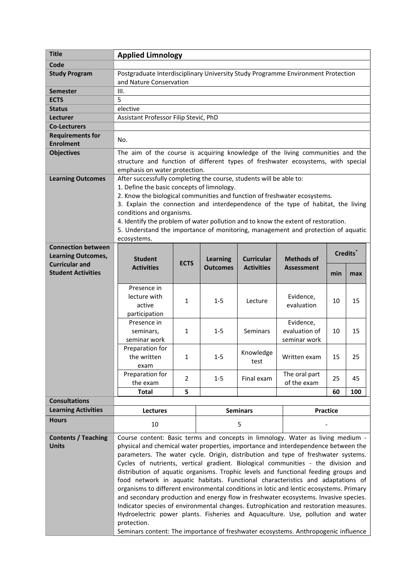| <b>Title</b>                                       | <b>Applied Limnology</b>                                                                                                                                               |                                                                          |                 |                   |                   |     |                      |  |
|----------------------------------------------------|------------------------------------------------------------------------------------------------------------------------------------------------------------------------|--------------------------------------------------------------------------|-----------------|-------------------|-------------------|-----|----------------------|--|
| Code                                               |                                                                                                                                                                        |                                                                          |                 |                   |                   |     |                      |  |
| <b>Study Program</b>                               | Postgraduate Interdisciplinary University Study Programme Environment Protection                                                                                       |                                                                          |                 |                   |                   |     |                      |  |
|                                                    | and Nature Conservation                                                                                                                                                |                                                                          |                 |                   |                   |     |                      |  |
| <b>Semester</b>                                    | III.                                                                                                                                                                   |                                                                          |                 |                   |                   |     |                      |  |
| <b>ECTS</b>                                        | 5                                                                                                                                                                      |                                                                          |                 |                   |                   |     |                      |  |
| <b>Status</b>                                      | elective                                                                                                                                                               |                                                                          |                 |                   |                   |     |                      |  |
| Lecturer                                           | Assistant Professor Filip Stević, PhD                                                                                                                                  |                                                                          |                 |                   |                   |     |                      |  |
| <b>Co-Lecturers</b>                                |                                                                                                                                                                        |                                                                          |                 |                   |                   |     |                      |  |
| <b>Requirements for</b>                            |                                                                                                                                                                        |                                                                          |                 |                   |                   |     |                      |  |
| <b>Enrolment</b>                                   | No.                                                                                                                                                                    |                                                                          |                 |                   |                   |     |                      |  |
| <b>Objectives</b>                                  | The aim of the course is acquiring knowledge of the living communities and the                                                                                         |                                                                          |                 |                   |                   |     |                      |  |
|                                                    | structure and function of different types of freshwater ecosystems, with special                                                                                       |                                                                          |                 |                   |                   |     |                      |  |
|                                                    | emphasis on water protection.                                                                                                                                          |                                                                          |                 |                   |                   |     |                      |  |
| <b>Learning Outcomes</b>                           | After successfully completing the course, students will be able to:                                                                                                    |                                                                          |                 |                   |                   |     |                      |  |
|                                                    | 1. Define the basic concepts of limnology.                                                                                                                             |                                                                          |                 |                   |                   |     |                      |  |
|                                                    | 2. Know the biological communities and function of freshwater ecosystems.                                                                                              |                                                                          |                 |                   |                   |     |                      |  |
|                                                    | 3. Explain the connection and interdependence of the type of habitat, the living                                                                                       |                                                                          |                 |                   |                   |     |                      |  |
|                                                    | conditions and organisms.                                                                                                                                              |                                                                          |                 |                   |                   |     |                      |  |
|                                                    | 4. Identify the problem of water pollution and to know the extent of restoration.                                                                                      |                                                                          |                 |                   |                   |     |                      |  |
|                                                    | 5. Understand the importance of monitoring, management and protection of aquatic                                                                                       |                                                                          |                 |                   |                   |     |                      |  |
| <b>Connection between</b>                          | ecosystems.                                                                                                                                                            |                                                                          |                 |                   |                   |     |                      |  |
| <b>Learning Outcomes,</b>                          |                                                                                                                                                                        |                                                                          |                 |                   |                   |     | Credits <sup>*</sup> |  |
| <b>Curricular and</b>                              | <b>Student</b>                                                                                                                                                         | <b>Curricular</b><br><b>Methods of</b><br><b>Learning</b><br><b>ECTS</b> |                 |                   |                   |     |                      |  |
| <b>Student Activities</b>                          | <b>Activities</b>                                                                                                                                                      |                                                                          | <b>Outcomes</b> | <b>Activities</b> | <b>Assessment</b> | min | max                  |  |
|                                                    |                                                                                                                                                                        |                                                                          |                 |                   |                   |     |                      |  |
|                                                    | Presence in                                                                                                                                                            |                                                                          |                 |                   |                   |     |                      |  |
|                                                    | lecture with                                                                                                                                                           | 1                                                                        | $1 - 5$         | Lecture           | Evidence,         | 10  | 15                   |  |
|                                                    | active                                                                                                                                                                 |                                                                          |                 |                   | evaluation        |     |                      |  |
|                                                    | participation                                                                                                                                                          |                                                                          |                 |                   |                   |     |                      |  |
|                                                    | Presence in                                                                                                                                                            |                                                                          |                 |                   | Evidence,         |     |                      |  |
|                                                    | seminars,                                                                                                                                                              | 1                                                                        | $1 - 5$         | Seminars          | evaluation of     | 10  | 15                   |  |
|                                                    | seminar work                                                                                                                                                           |                                                                          |                 |                   | seminar work      |     |                      |  |
|                                                    | Preparation for                                                                                                                                                        |                                                                          |                 | Knowledge         |                   |     |                      |  |
|                                                    | the written                                                                                                                                                            | 1                                                                        | $1 - 5$         | test              | Written exam      | 15  | 25                   |  |
|                                                    | exam                                                                                                                                                                   |                                                                          |                 |                   |                   |     |                      |  |
|                                                    | Preparation for                                                                                                                                                        | 2                                                                        | $1 - 5$         | Final exam        | The oral part     | 25  | 45                   |  |
|                                                    | the exam                                                                                                                                                               |                                                                          |                 |                   | of the exam       |     |                      |  |
|                                                    | <b>Total</b>                                                                                                                                                           | 5                                                                        |                 |                   |                   | 60  | 100                  |  |
| <b>Consultations</b><br><b>Learning Activities</b> |                                                                                                                                                                        |                                                                          |                 |                   |                   |     |                      |  |
|                                                    | Lectures                                                                                                                                                               |                                                                          | <b>Seminars</b> |                   | Practice          |     |                      |  |
| <b>Hours</b>                                       | 10                                                                                                                                                                     |                                                                          | 5               |                   |                   |     |                      |  |
| <b>Contents / Teaching</b>                         |                                                                                                                                                                        |                                                                          |                 |                   |                   |     |                      |  |
| Units                                              | Course content: Basic terms and concepts in limnology. Water as living medium -<br>physical and chemical water properties, importance and interdependence between the  |                                                                          |                 |                   |                   |     |                      |  |
|                                                    | parameters. The water cycle. Origin, distribution and type of freshwater systems.                                                                                      |                                                                          |                 |                   |                   |     |                      |  |
|                                                    | Cycles of nutrients, vertical gradient. Biological communities - the division and                                                                                      |                                                                          |                 |                   |                   |     |                      |  |
|                                                    |                                                                                                                                                                        |                                                                          |                 |                   |                   |     |                      |  |
|                                                    | distribution of aquatic organisms. Trophic levels and functional feeding groups and<br>food network in aquatic habitats. Functional characteristics and adaptations of |                                                                          |                 |                   |                   |     |                      |  |
|                                                    | organisms to different environmental conditions in lotic and lentic ecosystems. Primary                                                                                |                                                                          |                 |                   |                   |     |                      |  |
|                                                    | and secondary production and energy flow in freshwater ecosystems. Invasive species.                                                                                   |                                                                          |                 |                   |                   |     |                      |  |
|                                                    | Indicator species of environmental changes. Eutrophication and restoration measures.                                                                                   |                                                                          |                 |                   |                   |     |                      |  |
|                                                    | Hydroelectric power plants. Fisheries and Aquaculture. Use, pollution and water                                                                                        |                                                                          |                 |                   |                   |     |                      |  |
|                                                    | protection.                                                                                                                                                            |                                                                          |                 |                   |                   |     |                      |  |
|                                                    | Seminars content: The importance of freshwater ecosystems. Anthropogenic influence                                                                                     |                                                                          |                 |                   |                   |     |                      |  |